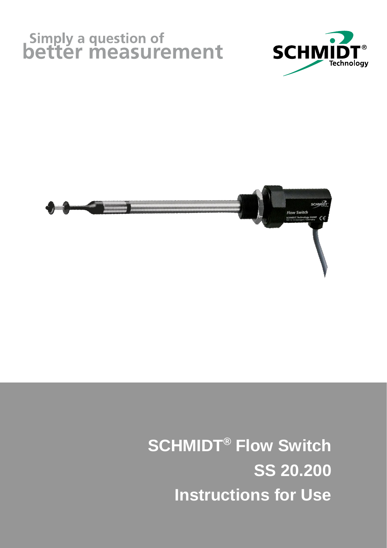## Simply a question of<br>better measurement





 **SCHMIDT® Flow Switch SS 20.200 Instructions for Use**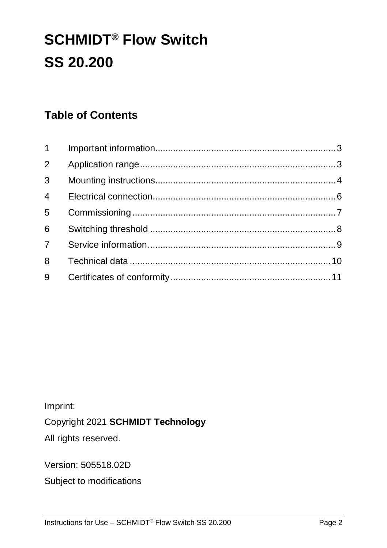## **SCHMIDT® Flow Switch SS 20.200**

#### **Table of Contents**

| $1 \quad$      |  |
|----------------|--|
| $2^{\circ}$    |  |
| $\overline{3}$ |  |
| $4 \quad$      |  |
| 5 <sup>7</sup> |  |
| 6              |  |
| $7^{\circ}$    |  |
| 8              |  |
| 9              |  |

Imprint:

Copyright 2021 **SCHMIDT Technology**

All rights reserved.

Version: 505518.02D

Subject to modifications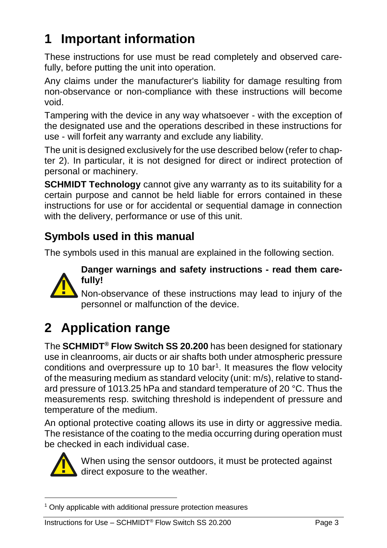## <span id="page-2-0"></span>**1 Important information**

These instructions for use must be read completely and observed carefully, before putting the unit into operation.

Any claims under the manufacturer's liability for damage resulting from non-observance or non-compliance with these instructions will become void.

Tampering with the device in any way whatsoever - with the exception of the designated use and the operations described in these instructions for use - will forfeit any warranty and exclude any liability.

The unit is designed exclusively for the use described below (refer to chapter 2). In particular, it is not designed for direct or indirect protection of personal or machinery.

**SCHMIDT Technology** cannot give any warranty as to its suitability for a certain purpose and cannot be held liable for errors contained in these instructions for use or for accidental or sequential damage in connection with the delivery, performance or use of this unit.

#### **Symbols used in this manual**

The symbols used in this manual are explained in the following section.



**Danger warnings and safety instructions - read them carefully!**

Non-observance of these instructions may lead to injury of the personnel or malfunction of the device.

## <span id="page-2-1"></span>**2 Application range**

The **SCHMIDT® Flow Switch SS 20.200** has been designed for stationary use in cleanrooms, air ducts or air shafts both under atmospheric pressure conditions and overpressure up to 10  $bar<sup>1</sup>$ . It measures the flow velocity of the measuring medium as standard velocity (unit: m/s), relative to standard pressure of 1013.25 hPa and standard temperature of 20 °C. Thus the measurements resp. switching threshold is independent of pressure and temperature of the medium. Transference of these instructions m<br>personnel or malfunction of the device.<br>**2 Application range**<br>The **SCHMIDT® Flow Switch SS 20.200** has been<br>use in cleanrooms, air ducts or air shafts both unde<br>conditions and overpress

An optional protective coating allows its use in dirty or aggressive media. The resistance of the coating to the media occurring during operation must be checked in each individual case.



When using the sensor outdoors, it must be protected against direct exposure to the weather.

<sup>&</sup>lt;u>.</u>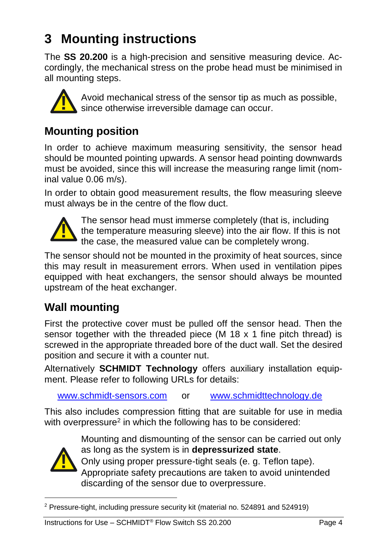## <span id="page-3-0"></span>**3 Mounting instructions**

The **SS 20.200** is a high-precision and sensitive measuring device. Accordingly, the mechanical stress on the probe head must be minimised in all mounting steps.



Avoid mechanical stress of the sensor tip as much as possible, since otherwise irreversible damage can occur.

#### **Mounting position**

In order to achieve maximum measuring sensitivity, the sensor head should be mounted pointing upwards. A sensor head pointing downwards must be avoided, since this will increase the measuring range limit (nominal value 0.06 m/s).

In order to obtain good measurement results, the flow measuring sleeve must always be in the centre of the flow duct.



The sensor head must immerse completely (that is, including the temperature measuring sleeve) into the air flow. If this is not<br>the case the measuring value can be completely wrong the case, the measured value can be completely wrong.

The sensor should not be mounted in the proximity of heat sources, since this may result in measurement errors. When used in ventilation pipes equipped with heat exchangers, the sensor should always be mounted upstream of the heat exchanger.

#### **Wall mounting**

First the protective cover must be pulled off the sensor head. Then the sensor together with the threaded piece (M 18 x 1 fine pitch thread) is screwed in the appropriate threaded bore of the duct wall. Set the desired position and secure it with a counter nut. **All mounting position**<br> **All mechanized stress of the sensor tip as much as position**<br> **In order to achieve maximum measuring sensitivity, the sens<br>
should be mounted pointing upwards. A sensor head pointing downs<br>
inal v** 

Alternatively **SCHMIDT Technology** offers auxiliary installation equipment. Please refer to following URLs for details:

[www.schmidt-sensors.com](http://www.schmidt-sensors.com/) or [www.schmidttechnology.d](http://www.schmidttechnology./)e

This also includes compression fitting that are suitable for use in media with overpressure<sup>2</sup> in which the following has to be considered:



Mounting and dismounting of the sensor can be carried out only as long as the system is in **depressurized state**.

Only using proper pressure-tight seals (e. g. Teflon tape). Appropriate safety precautions are taken to avoid unintended discarding of the sensor due to overpressure.

<sup>&</sup>lt;u>.</u>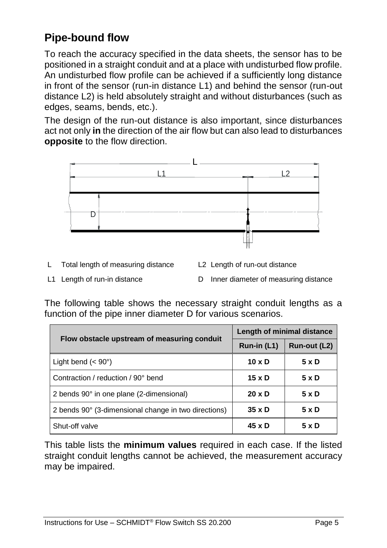#### **Pipe-bound flow**

To reach the accuracy specified in the data sheets, the sensor has to be positioned in a straight conduit and at a place with undisturbed flow profile. An undisturbed flow profile can be achieved if a sufficiently long distance in front of the sensor (run-in distance L1) and behind the sensor (run-out distance L2) is held absolutely straight and without disturbances (such as edges, seams, bends, etc.).

The design of the run-out distance is also important, since disturbances act not only **in** the direction of the air flow but can also lead to disturbances **opposite** to the flow direction.



- L Total length of measuring distance L2 Length of run-out distance
- 
- 
- L1 Length of run-in distance D Inner diameter of measuring distance

The following table shows the necessary straight conduit lengths as a function of the pipe inner diameter D for various scenarios.

| Flow obstacle upstream of measuring conduit          | Length of minimal distance |              |  |
|------------------------------------------------------|----------------------------|--------------|--|
|                                                      | Run-in (L1)                | Run-out (L2) |  |
| Light bend $(< 90^\circ)$                            | $10 \times D$              | 5xD          |  |
| Contraction / reduction / 90° bend                   | $15 \times D$              | 5 x D        |  |
| 2 bends 90° in one plane (2-dimensional)             | $20 \times D$              | 5xD          |  |
| 2 bends 90° (3-dimensional change in two directions) | $35 \times D$              | 5 x D        |  |
| Shut-off valve                                       | $45 \times D$              | 5 x D        |  |

This table lists the **minimum values** required in each case. If the listed straight conduit lengths cannot be achieved, the measurement accuracy may be impaired.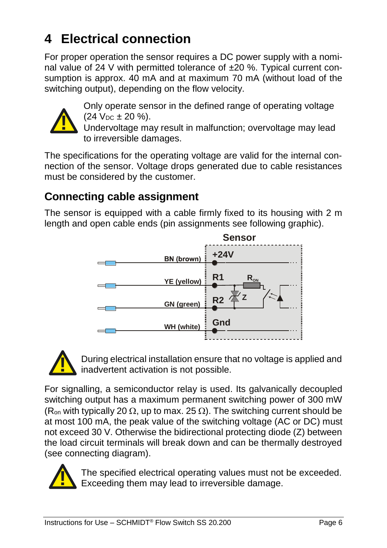## <span id="page-5-0"></span>**4 Electrical connection**

For proper operation the sensor requires a DC power supply with a nominal value of 24 V with permitted tolerance of  $\pm 20$  %. Typical current consumption is approx. 40 mA and at maximum 70 mA (without load of the switching output), depending on the flow velocity.



Only operate sensor in the defined range of operating voltage  $(24 \text{ V}_{DC} \pm 20 \text{ %}).$ 

Undervoltage may result in malfunction; overvoltage may lead to irreversible damages.

The specifications for the operating voltage are valid for the internal connection of the sensor. Voltage drops generated due to cable resistances must be considered by the customer.

#### **Connecting cable assignment**

The sensor is equipped with a cable firmly fixed to its housing with 2 m length and open cable ends (pin assignments see following graphic).





During electrical installation ensure that no voltage is applied and inadvertent activation is not possible.

For signalling, a semiconductor relay is used. Its galvanically decoupled switching output has a maximum permanent switching power of 300 mW (R<sub>on</sub> with typically 20  $\Omega$ , up to max. 25  $\Omega$ ). The switching current should be at most 100 mA, the peak value of the switching voltage (AC or DC) must not exceed 30 V. Otherwise the bidirectional protecting diode (Z) between the load circuit terminals will break down and can be thermally destroyed (see connecting diagram).



The specified electrical operating values must not be exceeded. Exceeding them may lead to irreversible damage.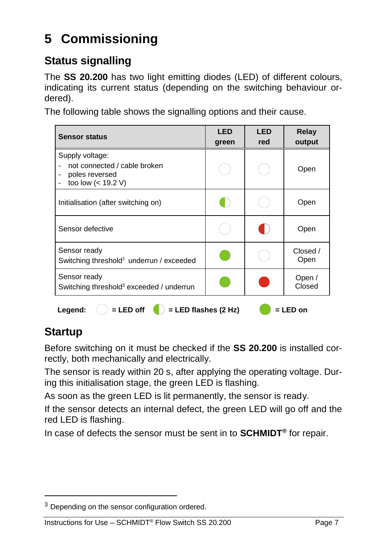## <span id="page-6-0"></span>**5 Commissioning**

#### **Status signalling**

The **SS 20.200** has two light emitting diodes (LED) of different colours, indicating its current status (depending on the switching behaviour ordered).

The following table shows the signalling options and their cause.

| <b>Sensor status</b>                                                                      | <b>LED</b><br>green | LED<br>red | Relay<br>output  |
|-------------------------------------------------------------------------------------------|---------------------|------------|------------------|
| Supply voltage:<br>not connected / cable broken<br>poles reversed<br>too low $(< 19.2 V)$ |                     |            | Open             |
| Initialisation (after switching on)                                                       |                     |            | Open             |
| Sensor defective                                                                          |                     |            | Open             |
| Sensor ready<br>Switching threshold <sup>1</sup> underrun / exceeded                      |                     |            | Closed /<br>Open |
| Sensor ready<br>Switching threshold <sup>3</sup> exceeded / underrun                      |                     |            | Open /<br>Closed |
| $=$ LED off<br>Legend:<br>= LED flashes (2 Hz)<br>= LED on                                |                     |            |                  |

#### **Startup**

<u>.</u>

Before switching on it must be checked if the **SS 20.200** is installed correctly, both mechanically and electrically.

The sensor is ready within 20 s, after applying the operating voltage. During this initialisation stage, the green LED is flashing.

As soon as the green LED is lit permanently, the sensor is ready.

If the sensor detects an internal defect, the green LED will go off and the red LED is flashing.

In case of defects the sensor must be sent in to **SCHMIDT®** for repair.

<sup>&</sup>lt;sup>3</sup> Depending on the sensor configuration ordered.

Instructions for Use – SCHMIDT<sup>®</sup> Flow Switch SS 20.200 Page 7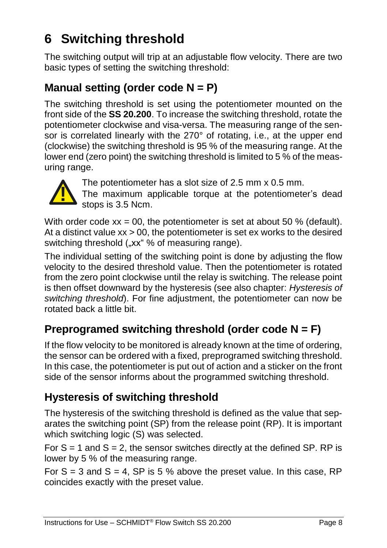## <span id="page-7-0"></span>**6 Switching threshold**

The switching output will trip at an adjustable flow velocity. There are two basic types of setting the switching threshold:

#### **Manual setting (order code N = P)**

The switching threshold is set using the potentiometer mounted on the front side of the **SS 20.200**. To increase the switching threshold, rotate the potentiometer clockwise and visa-versa. The measuring range of the sensor is correlated linearly with the 270° of rotating, i.e., at the upper end (clockwise) the switching threshold is 95 % of the measuring range. At the lower end (zero point) the switching threshold is limited to 5 % of the measuring range.



The potentiometer has a slot size of 2.5 mm x 0.5 mm.

The maximum applicable torque at the potentiometer's dead stops is 3.5 Ncm.

With order code  $xx = 00$ , the potentiometer is set at about 50 % (default). At a distinct value  $xx > 00$ , the potentiometer is set ex works to the desired switching threshold ("xx" % of measuring range).

The individual setting of the switching point is done by adjusting the flow velocity to the desired threshold value. Then the potentiometer is rotated from the zero point clockwise until the relay is switching. The release point is then offset downward by the hysteresis (see also chapter: *[Hysteresis of](#page-7-1)  [switching threshold](#page-7-1)*). For fine adjustment, the potentiometer can now be rotated back a little bit.

#### **Preprogramed switching threshold (order code N = F)**

If the flow velocity to be monitored is already known at the time of ordering, the sensor can be ordered with a fixed, preprogramed switching threshold. In this case, the potentiometer is put out of action and a sticker on the front side of the sensor informs about the programmed switching threshold.

#### <span id="page-7-1"></span>**Hysteresis of switching threshold**

The hysteresis of the switching threshold is defined as the value that separates the switching point (SP) from the release point (RP). It is important which switching logic (S) was selected.

For  $S = 1$  and  $S = 2$ , the sensor switches directly at the defined SP. RP is lower by 5 % of the measuring range.

For  $S = 3$  and  $S = 4$ ,  $SP$  is 5 % above the preset value. In this case, RP coincides exactly with the preset value.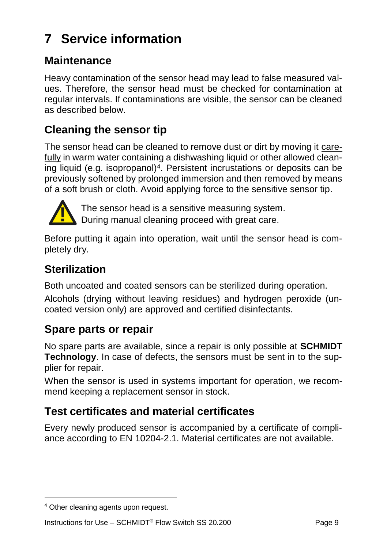## <span id="page-8-0"></span>**7 Service information**

#### **Maintenance**

Heavy contamination of the sensor head may lead to false measured values. Therefore, the sensor head must be checked for contamination at regular intervals. If contaminations are visible, the sensor can be cleaned as described below.

#### **Cleaning the sensor tip**

The sensor head can be cleaned to remove dust or dirt by moving it carefully in warm water containing a dishwashing liquid or other allowed cleaning liquid (e.g. isopropanol)<sup>4</sup>. Persistent incrustations or deposits can be previously softened by prolonged immersion and then removed by means of a soft brush or cloth. Avoid applying force to the sensitive sensor tip.



The sensor head is a sensitive measuring system. During manual cleaning proceed with great care.

Before putting it again into operation, wait until the sensor head is completely dry.

#### **Sterilization**

Both uncoated and coated sensors can be sterilized during operation.

Alcohols (drying without leaving residues) and hydrogen peroxide (uncoated version only) are approved and certified disinfectants.

#### **Spare parts or repair**

No spare parts are available, since a repair is only possible at **SCHMIDT Technology**. In case of defects, the sensors must be sent in to the supplier for repair. The sensor head is a<br>Before putting it again into op-<br>pletely dry.<br>**Sterilization**<br>Both uncoated and coated sen-<br>Alcohols (drying without leavi-<br>coated version only) are appro-<br>**Spare parts or repair**<br>No spare parts or rep

When the sensor is used in systems important for operation, we recommend keeping a replacement sensor in stock.

#### **Test certificates and material certificates**

Every newly produced sensor is accompanied by a certificate of compliance according to EN 10204-2.1. Material certificates are not available.

<u>.</u>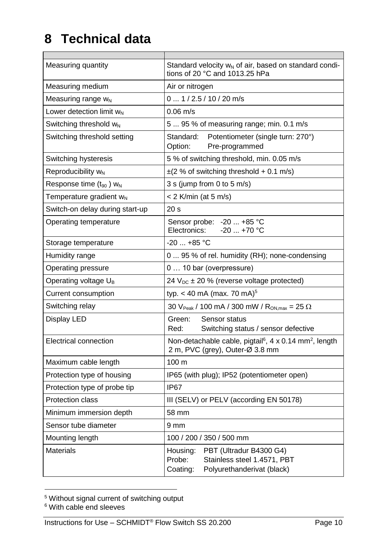## <span id="page-9-0"></span>**8 Technical data**

 $\overline{ }$ 

| Measuring quantity                              | Standard velocity w <sub>N</sub> of air, based on standard condi-<br>tions of 20 °C and 1013.25 hPa                    |  |  |
|-------------------------------------------------|------------------------------------------------------------------------------------------------------------------------|--|--|
| Measuring medium                                | Air or nitrogen                                                                                                        |  |  |
| Measuring range $w_N$                           | $0 \dots 1/2.5/10/20$ m/s                                                                                              |  |  |
| Lower detection limit WN                        | $0.06 \text{ m/s}$                                                                                                     |  |  |
| Switching threshold w <sub>N</sub>              | 5 95 % of measuring range; min. 0.1 m/s                                                                                |  |  |
| Switching threshold setting                     | Potentiometer (single turn: 270°)<br>Standard:<br>Option:<br>Pre-programmed                                            |  |  |
| Switching hysteresis                            | 5 % of switching threshold, min. 0.05 m/s                                                                              |  |  |
| Reproducibility $w_{N}$                         | $\pm$ (2 % of switching threshold + 0.1 m/s)                                                                           |  |  |
| Response time (t <sub>90</sub> ) W <sub>N</sub> | 3 s (jump from 0 to 5 m/s)                                                                                             |  |  |
| Temperature gradient w <sub>N</sub>             | < 2 K/min (at 5 m/s)                                                                                                   |  |  |
| Switch-on delay during start-up                 | 20 <sub>s</sub>                                                                                                        |  |  |
| Operating temperature                           | Sensor probe: -20  +85 °C<br>$-20+70$ °C<br>Flectronics:                                                               |  |  |
| Storage temperature                             | $-20+85$ °C                                                                                                            |  |  |
| Humidity range                                  | 0  95 % of rel. humidity (RH); none-condensing                                                                         |  |  |
| Operating pressure                              | 0  10 bar (overpressure)                                                                                               |  |  |
| Operating voltage U <sub>B</sub>                | 24 $V_{DC}$ ± 20 % (reverse voltage protected)                                                                         |  |  |
| Current consumption                             | typ. < 40 mA (max. 70 mA) <sup>5</sup>                                                                                 |  |  |
| Switching relay                                 | 30 V <sub>Peak</sub> / 100 mA / 300 mW / $R_{ON,max} = 25 \Omega$                                                      |  |  |
| Display LED                                     | Green:<br>Sensor status<br>Red:<br>Switching status / sensor defective                                                 |  |  |
| Electrical connection                           | Non-detachable cable, pigtail <sup>6</sup> , 4 x 0.14 mm <sup>2</sup> , length<br>2 m, PVC (grey), Outer-Ø 3.8 mm      |  |  |
| Maximum cable length                            | 100 m                                                                                                                  |  |  |
| Protection type of housing                      | IP65 (with plug); IP52 (potentiometer open)                                                                            |  |  |
| Protection type of probe tip                    | IP67                                                                                                                   |  |  |
| <b>Protection class</b>                         | III (SELV) or PELV (according EN 50178)                                                                                |  |  |
| Minimum immersion depth                         | 58 mm                                                                                                                  |  |  |
| Sensor tube diameter                            | 9 <sub>mm</sub>                                                                                                        |  |  |
| Mounting length                                 | 100 / 200 / 350 / 500 mm                                                                                               |  |  |
| Materials                                       | PBT (Ultradur B4300 G4)<br>Housing:<br>Probe:<br>Stainless steel 1.4571, PBT<br>Coating:<br>Polyurethanderivat (black) |  |  |

<sup>1</sup> <sup>5</sup> Without signal current of switching output

Instructions for Use – SCHMIDT<sup>®</sup> Flow Switch SS 20.200 Page 10

<sup>&</sup>lt;sup>6</sup> With cable end sleeves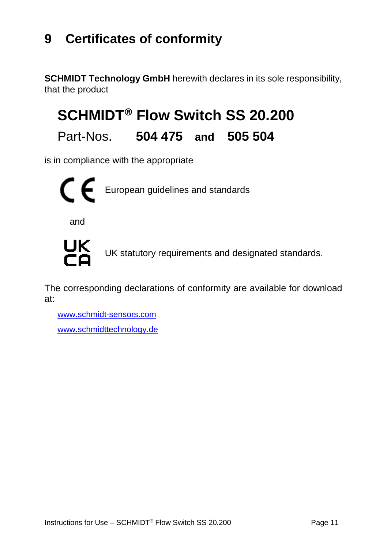### <span id="page-10-0"></span>**9 Certificates of conformity**

**SCHMIDT Technology GmbH** herewith declares in its sole responsibility, that the product

## **SCHMIDT<sup>®</sup> Flow Switch SS 20.200**

#### Part-Nos. **504 475 and 505 504**

is in compliance with the appropriate



and



UK statutory requirements and designated standards.

The corresponding declarations of conformity are available for download at:

[www.schmidt-sensors.com](http://www.schmidt-sensors.com/) www.schmidttechnology.de